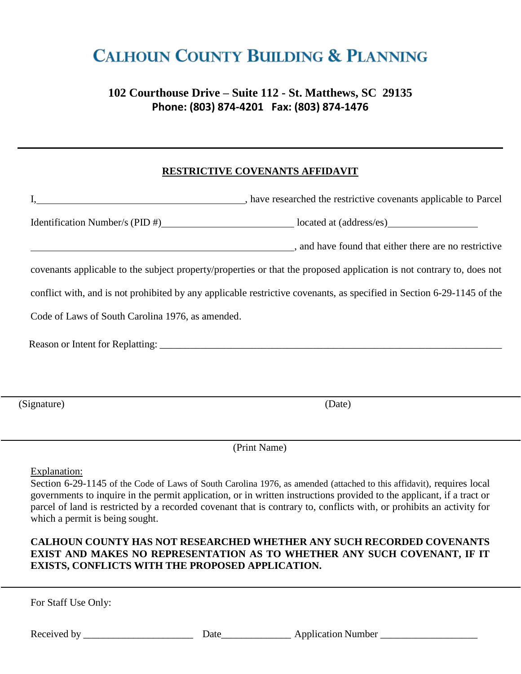# **CALHOUN COUNTY BUILDING & PLANNING**

## **102 Courthouse Drive – Suite 112 - St. Matthews, SC 29135 Phone: (803) 874-4201 Fax: (803) 874-1476**

#### **RESTRICTIVE COVENANTS AFFIDAVIT**

|                                                                                                                                                                            | have researched the restrictive covenants applicable to Parcel                                                                                                                                                                                 |
|----------------------------------------------------------------------------------------------------------------------------------------------------------------------------|------------------------------------------------------------------------------------------------------------------------------------------------------------------------------------------------------------------------------------------------|
|                                                                                                                                                                            | Identification Number/s (PID #) located at (address/es)                                                                                                                                                                                        |
|                                                                                                                                                                            | and have found that either there are no restrictive                                                                                                                                                                                            |
|                                                                                                                                                                            | covenants applicable to the subject property/properties or that the proposed application is not contrary to, does not                                                                                                                          |
| conflict with, and is not prohibited by any applicable restrictive covenants, as specified in Section 6-29-1145 of the<br>Code of Laws of South Carolina 1976, as amended. |                                                                                                                                                                                                                                                |
|                                                                                                                                                                            |                                                                                                                                                                                                                                                |
|                                                                                                                                                                            |                                                                                                                                                                                                                                                |
| (Signature)                                                                                                                                                                | (Date)                                                                                                                                                                                                                                         |
|                                                                                                                                                                            | (Print Name)                                                                                                                                                                                                                                   |
| Explanation:                                                                                                                                                               | Section 6-29-1145 of the Code of Laws of South Carolina 1976, as amended (attached to this affidavit), requires local<br>governments to inquire in the permit application, or in written instructions provided to the applicant, if a tract or |

parcel of land is restricted by a recorded covenant that is contrary to, conflicts with, or prohibits an activity for which a permit is being sought.

#### **CALHOUN COUNTY HAS NOT RESEARCHED WHETHER ANY SUCH RECORDED COVENANTS EXIST AND MAKES NO REPRESENTATION AS TO WHETHER ANY SUCH COVENANT, IF IT EXISTS, CONFLICTS WITH THE PROPOSED APPLICATION.**

For Staff Use Only:

Received by \_\_\_\_\_\_\_\_\_\_\_\_\_\_\_\_\_\_\_\_\_\_ Date\_\_\_\_\_\_\_\_\_\_\_\_\_\_ Application Number \_\_\_\_\_\_\_\_\_\_\_\_\_\_\_\_\_\_\_